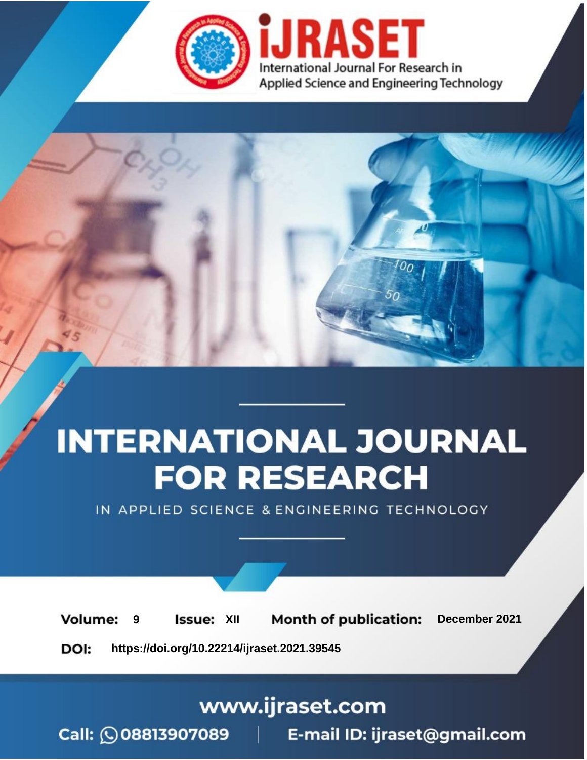



IN APPLIED SCIENCE & ENGINEERING TECHNOLOGY

**9 Issue:** XII **Month of publication:** December 2021 **Volume: https://doi.org/10.22214/ijraset.2021.39545**DOI:

www.ijraset.com

Call: 008813907089 | E-mail ID: ijraset@gmail.com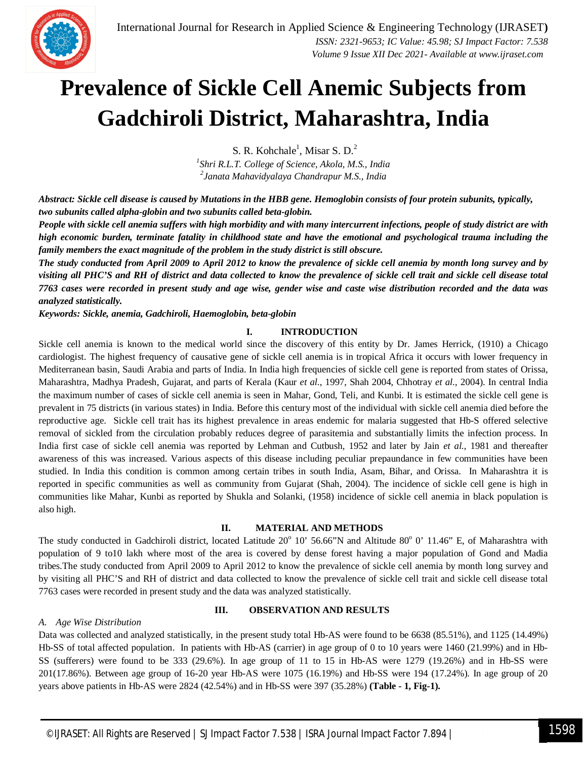

# **Prevalence of Sickle Cell Anemic Subjects from Gadchiroli District, Maharashtra, India**

S. R. Kohchale<sup>1</sup>, Misar S. D.<sup>2</sup>

*1 Shri R.L.T. College of Science, Akola, M.S., India 2 Janata Mahavidyalaya Chandrapur M.S., India*

*Abstract: Sickle cell disease is caused by Mutations in the HBB gene. Hemoglobin consists of four protein subunits, typically, two subunits called alpha-globin and two subunits called beta-globin.* 

*People with sickle cell anemia suffers with high morbidity and with many intercurrent infections, people of study district are with high economic burden, terminate fatality in childhood state and have the emotional and psychological trauma including the family members the exact magnitude of the problem in the study district is still obscure.* 

*The study conducted from April 2009 to April 2012 to know the prevalence of sickle cell anemia by month long survey and by visiting all PHC'S and RH of district and data collected to know the prevalence of sickle cell trait and sickle cell disease total 7763 cases were recorded in present study and age wise, gender wise and caste wise distribution recorded and the data was analyzed statistically.* 

*Keywords: Sickle, anemia, Gadchiroli, Haemoglobin, beta-globin*

#### **I. INTRODUCTION**

Sickle cell anemia is known to the medical world since the discovery of this entity by Dr. James Herrick, (1910) a Chicago cardiologist. The highest frequency of causative gene of sickle cell anemia is in tropical Africa it occurs with lower frequency in Mediterranean basin, Saudi Arabia and parts of India. In India high frequencies of sickle cell gene is reported from states of Orissa, Maharashtra, Madhya Pradesh, Gujarat, and parts of Kerala (Kaur *et al.,* 1997, Shah 2004, Chhotray *et al.,* 2004). In central India the maximum number of cases of sickle cell anemia is seen in Mahar, Gond, Teli, and Kunbi. It is estimated the sickle cell gene is prevalent in 75 districts (in various states) in India. Before this century most of the individual with sickle cell anemia died before the reproductive age. Sickle cell trait has its highest prevalence in areas endemic for malaria suggested that Hb-S offered selective removal of sickled from the circulation probably reduces degree of parasitemia and substantially limits the infection process. In India first case of sickle cell anemia was reported by Lehman and Cutbush*,* 1952 and later by Jain *et al.,* 1981 and thereafter awareness of this was increased. Various aspects of this disease including peculiar prepaundance in few communities have been studied. In India this condition is common among certain tribes in south India, Asam, Bihar, and Orissa. In Maharashtra it is reported in specific communities as well as community from Gujarat (Shah, 2004). The incidence of sickle cell gene is high in communities like Mahar, Kunbi as reported by Shukla and Solanki, (1958) incidence of sickle cell anemia in black population is also high.

#### **II. MATERIAL AND METHODS**

The study conducted in Gadchiroli district, located Latitude 20° 10' 56.66"N and Altitude 80° 0' 11.46" E, of Maharashtra with population of 9 to10 lakh where most of the area is covered by dense forest having a major population of Gond and Madia tribes.The study conducted from April 2009 to April 2012 to know the prevalence of sickle cell anemia by month long survey and by visiting all PHC'S and RH of district and data collected to know the prevalence of sickle cell trait and sickle cell disease total 7763 cases were recorded in present study and the data was analyzed statistically.

#### **III. OBSERVATION AND RESULTS**

#### *A. Age Wise Distribution*

Data was collected and analyzed statistically, in the present study total Hb-AS were found to be 6638 (85.51%), and 1125 (14.49%) Hb-SS of total affected population. In patients with Hb-AS (carrier) in age group of 0 to 10 years were 1460 (21.99%) and in Hb-SS (sufferers) were found to be 333 (29.6%). In age group of 11 to 15 in Hb-AS were 1279 (19.26%) and in Hb-SS were 201(17.86%). Between age group of 16-20 year Hb-AS were 1075 (16.19%) and Hb-SS were 194 (17.24%). In age group of 20 years above patients in Hb-AS were 2824 (42.54%) and in Hb-SS were 397 (35.28%) **(Table - 1, Fig-1).**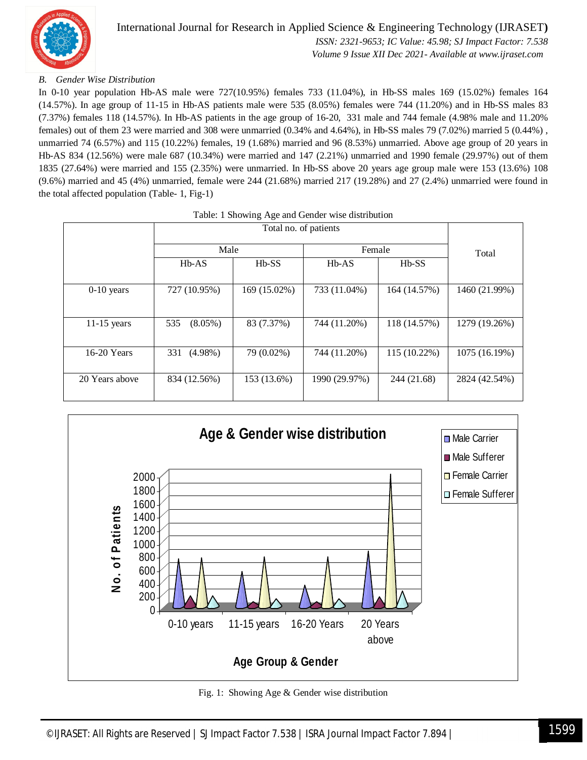

# International Journal for Research in Applied Science & Engineering Technology (IJRASET**)**  *ISSN: 2321-9653; IC Value: 45.98; SJ Impact Factor: 7.538*

 *Volume 9 Issue XII Dec 2021- Available at www.ijraset.com*

## *B. Gender Wise Distribution*

In 0-10 year population Hb-AS male were 727(10.95%) females 733 (11.04%), in Hb-SS males 169 (15.02%) females 164 (14.57%). In age group of 11-15 in Hb-AS patients male were 535 (8.05%) females were 744 (11.20%) and in Hb-SS males 83 (7.37%) females 118 (14.57%). In Hb-AS patients in the age group of 16-20, 331 male and 744 female (4.98% male and 11.20% females) out of them 23 were married and 308 were unmarried (0.34% and 4.64%), in Hb-SS males 79 (7.02%) married 5 (0.44%) , unmarried 74 (6.57%) and 115 (10.22%) females, 19 (1.68%) married and 96 (8.53%) unmarried. Above age group of 20 years in Hb-AS 834 (12.56%) were male 687 (10.34%) were married and 147 (2.21%) unmarried and 1990 female (29.97%) out of them 1835 (27.64%) were married and 155 (2.35%) were unmarried. In Hb-SS above 20 years age group male were 153 (13.6%) 108 (9.6%) married and 45 (4%) unmarried, female were 244 (21.68%) married 217 (19.28%) and 27 (2.4%) unmarried were found in the total affected population (Table- 1, Fig-1)

|                | Male              |              | Female        | Total        |               |
|----------------|-------------------|--------------|---------------|--------------|---------------|
|                | $Hb-AS$           | $Hb-SS$      | $Hb-AS$       | $Hb-SS$      |               |
| $0-10$ years   | 727 (10.95%)      | 169 (15.02%) | 733 (11.04%)  | 164 (14.57%) | 1460 (21.99%) |
| $11-15$ years  | 535<br>$(8.05\%)$ | 83 (7.37%)   | 744 (11.20%)  | 118 (14.57%) | 1279 (19.26%) |
| 16-20 Years    | 331<br>$(4.98\%)$ | 79 (0.02%)   | 744 (11.20%)  | 115 (10.22%) | 1075 (16.19%) |
| 20 Years above | 834 (12.56%)      | 153 (13.6%)  | 1990 (29.97%) | 244 (21.68)  | 2824 (42.54%) |



Fig. 1: Showing Age & Gender wise distribution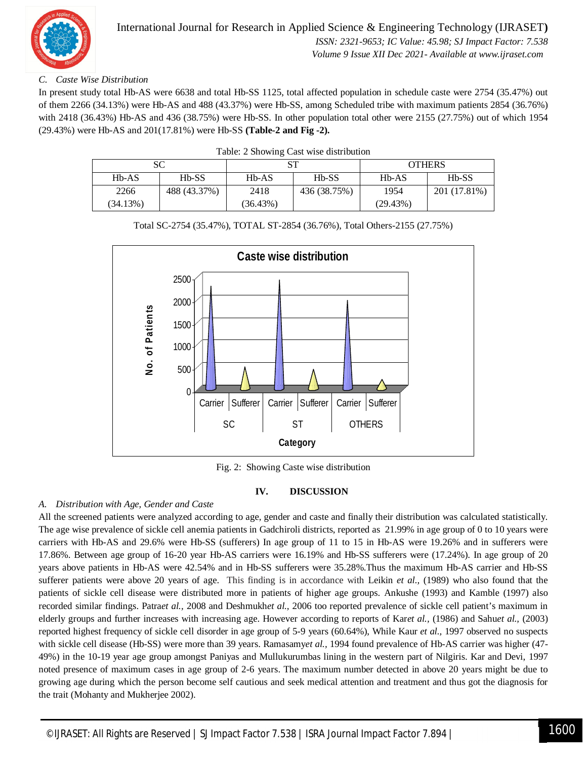

# *C. Caste Wise Distribution*

In present study total Hb-AS were 6638 and total Hb-SS 1125, total affected population in schedule caste were 2754 (35.47%) out of them 2266 (34.13%) were Hb-AS and 488 (43.37%) were Hb-SS, among Scheduled tribe with maximum patients 2854 (36.76%) with 2418 (36.43%) Hb-AS and 436 (38.75%) were Hb-SS. In other population total other were 2155 (27.75%) out of which 1954 (29.43%) were Hb-AS and 201(17.81%) were Hb-SS **(Table-2 and Fig -2).**

|  |  |  | Table: 2 Showing Cast wise distribution |  |
|--|--|--|-----------------------------------------|--|
|  |  |  |                                         |  |

| SС       |              |          | cт           | <b>OTHERS</b>                  |              |
|----------|--------------|----------|--------------|--------------------------------|--------------|
| $Hb-AS$  | $Hb-SS$      | $Hb-AS$  | $Hb-SS$      | H <sub>b</sub> -A <sub>S</sub> | $Hb-SS$      |
| 2266     | 488 (43.37%) | 2418     | 436 (38.75%) | 1954                           | 201 (17.81%) |
| (34.13%) |              | (36.43%) |              | (29.43%)                       |              |

Total SC-2754 (35.47%), TOTAL ST-2854 (36.76%), Total Others-2155 (27.75%)



Fig. 2: Showing Caste wise distribution

#### **IV. DISCUSSION**

## *A. Distribution with Age, Gender and Caste*

All the screened patients were analyzed according to age, gender and caste and finally their distribution was calculated statistically. The age wise prevalence of sickle cell anemia patients in Gadchiroli districts, reported as 21.99% in age group of 0 to 10 years were carriers with Hb-AS and 29.6% were Hb-SS (sufferers) In age group of 11 to 15 in Hb-AS were 19.26% and in sufferers were 17.86%. Between age group of 16-20 year Hb-AS carriers were 16.19% and Hb-SS sufferers were (17.24%). In age group of 20 years above patients in Hb-AS were 42.54% and in Hb-SS sufferers were 35.28%.Thus the maximum Hb-AS carrier and Hb-SS sufferer patients were above 20 years of age. This finding is in accordance with Leikin *et al.,* (1989) who also found that the patients of sickle cell disease were distributed more in patients of higher age groups. Ankushe (1993) and Kamble (1997) also recorded similar findings. Patra*et al.,* 2008 and Deshmukh*et al.,* 2006 too reported prevalence of sickle cell patient's maximum in elderly groups and further increases with increasing age. However according to reports of Kar*et al.,* (1986) and Sahu*et al.,* (2003) reported highest frequency of sickle cell disorder in age group of 5-9 years (60.64%), While Kaur *et al.,* 1997 observed no suspects with sickle cell disease (Hb-SS) were more than 39 years. Ramasamy*et al.,* 1994 found prevalence of Hb-AS carrier was higher (47- 49%) in the 10-19 year age group amongst Paniyas and Mullukurumbas lining in the western part of Nilgiris. Kar and Devi, 1997 noted presence of maximum cases in age group of 2-6 years. The maximum number detected in above 20 years might be due to growing age during which the person become self cautious and seek medical attention and treatment and thus got the diagnosis for the trait (Mohanty and Mukherjee 2002).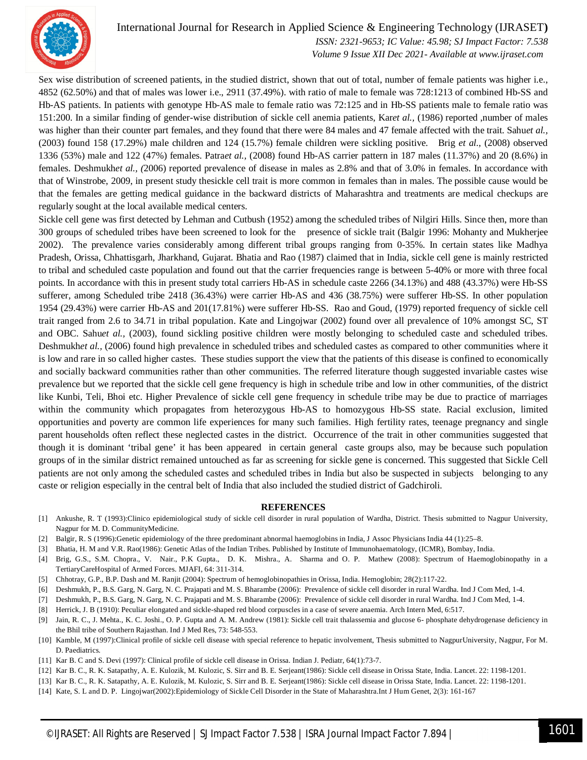

# International Journal for Research in Applied Science & Engineering Technology (IJRASET**)**

 *ISSN: 2321-9653; IC Value: 45.98; SJ Impact Factor: 7.538 Volume 9 Issue XII Dec 2021- Available at www.ijraset.com*

Sex wise distribution of screened patients, in the studied district, shown that out of total, number of female patients was higher i.e., 4852 (62.50%) and that of males was lower i.e., 2911 (37.49%). with ratio of male to female was 728:1213 of combined Hb-SS and Hb-AS patients. In patients with genotype Hb-AS male to female ratio was 72:125 and in Hb-SS patients male to female ratio was 151:200. In a similar finding of gender-wise distribution of sickle cell anemia patients, Kar*et al.,* (1986) reported ,number of males was higher than their counter part females, and they found that there were 84 males and 47 female affected with the trait. Sahu*et al.,* (2003) found 158 (17.29%) male children and 124 (15.7%) female children were sickling positive. Brig *et al.,* (2008) observed 1336 (53%) male and 122 (47%) females. Patra*et al.,* (2008) found Hb-AS carrier pattern in 187 males (11.37%) and 20 (8.6%) in females. Deshmukh*et al., (*2006) reported prevalence of disease in males as 2.8% and that of 3.0% in females. In accordance with that of Winstrobe, 2009, in present study thesickle cell trait is more common in females than in males. The possible cause would be that the females are getting medical guidance in the backward districts of Maharashtra and treatments are medical checkups are regularly sought at the local available medical centers.

Sickle cell gene was first detected by Lehman and Cutbush (1952) among the scheduled tribes of Nilgiri Hills. Since then, more than 300 groups of scheduled tribes have been screened to look for the presence of sickle trait (Balgir 1996: Mohanty and Mukherjee 2002). The prevalence varies considerably among different tribal groups ranging from 0-35%. In certain states like Madhya Pradesh, Orissa, Chhattisgarh, Jharkhand, Gujarat. Bhatia and Rao (1987) claimed that in India, sickle cell gene is mainly restricted to tribal and scheduled caste population and found out that the carrier frequencies range is between 5-40% or more with three focal points. In accordance with this in present study total carriers Hb-AS in schedule caste 2266 (34.13%) and 488 (43.37%) were Hb-SS sufferer, among Scheduled tribe 2418 (36.43%) were carrier Hb-AS and 436 (38.75%) were sufferer Hb-SS. In other population 1954 (29.43%) were carrier Hb-AS and 201(17.81%) were sufferer Hb-SS. Rao and Goud, (1979) reported frequency of sickle cell trait ranged from 2.6 to 34.71 in tribal population. Kate and Lingojwar (2002) found over all prevalence of 10% amongst SC, ST and OBC. Sahu*et al.,* (2003), found sickling positive children were mostly belonging to scheduled caste and scheduled tribes. Deshmukh*et al.,* (2006) found high prevalence in scheduled tribes and scheduled castes as compared to other communities where it is low and rare in so called higher castes. These studies support the view that the patients of this disease is confined to economically and socially backward communities rather than other communities. The referred literature though suggested invariable castes wise prevalence but we reported that the sickle cell gene frequency is high in schedule tribe and low in other communities, of the district like Kunbi, Teli, Bhoi etc. Higher Prevalence of sickle cell gene frequency in schedule tribe may be due to practice of marriages within the community which propagates from heterozygous Hb-AS to homozygous Hb-SS state. Racial exclusion, limited opportunities and poverty are common life experiences for many such families. High fertility rates, teenage pregnancy and single parent households often reflect these neglected castes in the district. Occurrence of the trait in other communities suggested that though it is dominant 'tribal gene' it has been appeared in certain general caste groups also, may be because such population groups of in the similar district remained untouched as far as screening for sickle gene is concerned. This suggested that Sickle Cell patients are not only among the scheduled castes and scheduled tribes in India but also be suspected in subjects belonging to any caste or religion especially in the central belt of India that also included the studied district of Gadchiroli.

#### **REFERENCES**

- [1] Ankushe, R. T (1993):Clinico epidemiological study of sickle cell disorder in rural population of Wardha, District. Thesis submitted to Nagpur University, Nagpur for M. D. CommunityMedicine.
- [2] Balgir, R. S (1996):Genetic epidemiology of the three predominant abnormal haemoglobins in India, J Assoc Physicians India 44 (1):25–8.
- [3] Bhatia, H. M and V.R. Rao(1986): Genetic Atlas of the Indian Tribes. Published by Institute of Immunohaematology, (ICMR), Bombay, India.
- [4] Brig, G.S., S.M. Chopra., V. Nair., P.K Gupta., D. K. Mishra., A. Sharma and O. P. Mathew (2008): Spectrum of Haemoglobinopathy in a TertiaryCareHospital of Armed Forces. MJAFI, 64: 311-314.
- [5] Chhotray, G.P., B.P. Dash and M. Ranjit (2004): Spectrum of hemoglobinopathies in Orissa, India. Hemoglobin; 28(2):117-22.
- [6] Deshmukh, P., B.S. Garg, N. Garg, N. C. Prajapati and M. S. Bharambe (2006): Prevalence of sickle cell disorder in rural Wardha. Ind J Com Med, 1-4.
- [7] Deshmukh, P., B.S. Garg, N. Garg, N. C. Prajapati and M. S. Bharambe (2006): Prevalence of sickle cell disorder in rural Wardha. Ind J Com Med, 1-4.
- [8] Herrick, J. B (1910): Peculiar elongated and sickle-shaped red blood corpuscles in a case of severe anaemia. Arch Intern Med, 6:517.
- [9] Jain, R. C., J. Mehta., K. C. Joshi., O. P. Gupta and A. M. Andrew (1981): Sickle cell trait thalassemia and glucose 6- phosphate dehydrogenase deficiency in the Bhil tribe of Southern Rajasthan. Ind J Med Res, 73: 548-553.
- [10] Kamble, M (1997):Clinical profile of sickle cell disease with special reference to hepatic involvement, Thesis submitted to NagpurUniversity, Nagpur, For M. D. Paediatrics.
- [11] Kar B. C and S. Devi (1997): Clinical profile of sickle cell disease in Orissa. Indian J. Pediatr, 64(1):73-7.
- [12] Kar B. C., R. K. Satapathy, A. E. Kulozik, M. Kulozic, S. Sirr and B. E. Serjeant(1986): Sickle cell disease in Orissa State, India. Lancet. 22: 1198-1201.
- [13] Kar B. C., R. K. Satapathy, A. E. Kulozik, M. Kulozic, S. Sirr and B. E. Serjeant(1986): Sickle cell disease in Orissa State, India. Lancet. 22: 1198-1201.
- [14] Kate, S. L and D. P. Lingojwar(2002):Epidemiology of Sickle Cell Disorder in the State of Maharashtra.Int J Hum Genet, 2(3): 161-167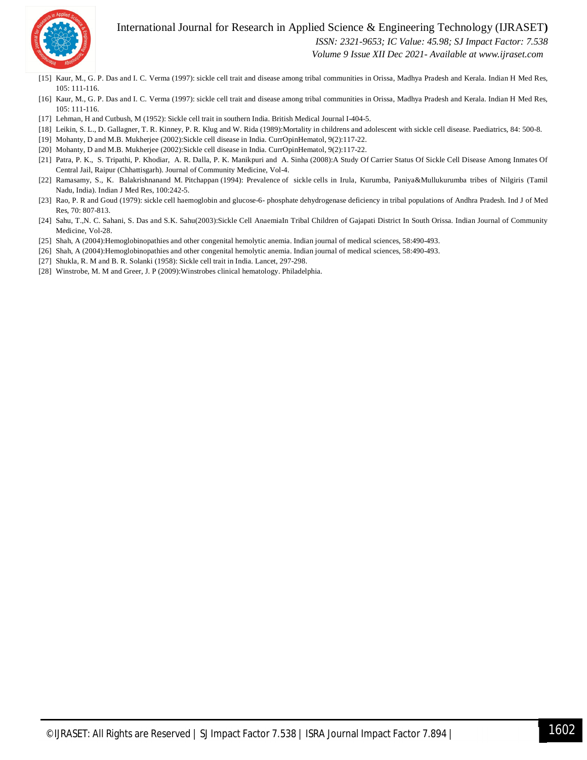

# International Journal for Research in Applied Science & Engineering Technology (IJRASET**)**

 *ISSN: 2321-9653; IC Value: 45.98; SJ Impact Factor: 7.538*

 *Volume 9 Issue XII Dec 2021- Available at www.ijraset.com*

- [15] Kaur, M., G. P. Das and I. C. Verma (1997): sickle cell trait and disease among tribal communities in Orissa, Madhya Pradesh and Kerala. Indian H Med Res, 105: 111-116.
- [16] Kaur, M., G. P. Das and I. C. Verma (1997): sickle cell trait and disease among tribal communities in Orissa, Madhya Pradesh and Kerala. Indian H Med Res, 105: 111-116.
- [17] Lehman, H and Cutbush, M (1952): Sickle cell trait in southern India. British Medical Journal I-404-5.
- [18] Leikin, S. L., D. Gallagner, T. R. Kinney, P. R. Klug and W. Rida (1989):Mortality in childrens and adolescent with sickle cell disease. Paediatrics, 84: 500-8.
- [19] Mohanty, D and M.B. Mukherjee (2002):Sickle cell disease in India. CurrOpinHematol, 9(2):117-22.
- [20] Mohanty, D and M.B. Mukherjee (2002):Sickle cell disease in India. CurrOpinHematol, 9(2):117-22.
- [21] Patra, P. K., S. Tripathi, P. Khodiar, A. R. Dalla, P. K. Manikpuri and A. Sinha (2008):A Study Of Carrier Status Of Sickle Cell Disease Among Inmates Of Central Jail, Raipur (Chhattisgarh). Journal of Community Medicine, Vol-4.
- [22] Ramasamy, S., K. Balakrishnanand M. Pitchappan (1994): Prevalence of sickle cells in Irula, Kurumba, Paniya&Mullukurumba tribes of Nilgiris (Tamil Nadu, India). Indian J Med Res, 100:242-5.
- [23] Rao, P. R and Goud (1979): sickle cell haemoglobin and glucose-6- phosphate dehydrogenase deficiency in tribal populations of Andhra Pradesh. Ind J of Med Res, 70: 807-813.
- [24] Sahu, T.,N. C. Sahani, S. Das and S.K. Sahu(2003):Sickle Cell AnaemiaIn Tribal Children of Gajapati District In South Orissa. Indian Journal of Community Medicine, Vol-28.
- [25] Shah, A (2004):Hemoglobinopathies and other congenital hemolytic anemia. Indian journal of medical sciences, 58:490-493.
- [26] Shah, A (2004):Hemoglobinopathies and other congenital hemolytic anemia. Indian journal of medical sciences, 58:490-493.
- [27] Shukla, R. M and B. R. Solanki (1958): Sickle cell trait in India. Lancet, 297-298.
- [28] Winstrobe, M. M and Greer, J. P (2009):Winstrobes clinical hematology. Philadelphia.